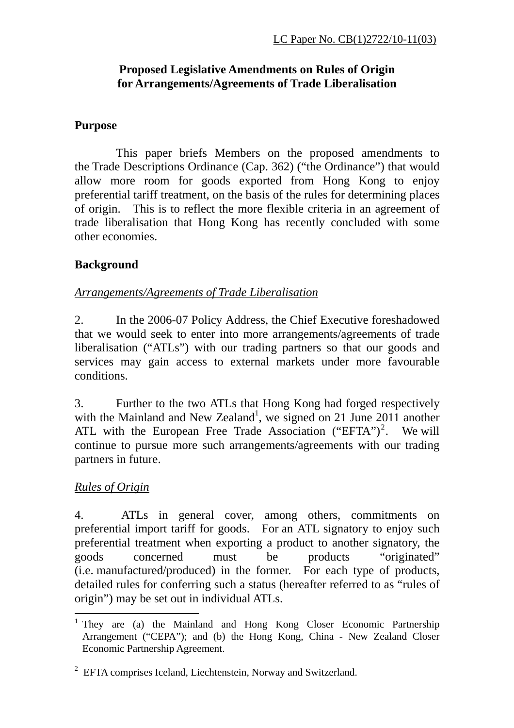# **Proposed Legislative Amendments on Rules of Origin for Arrangements/Agreements of Trade Liberalisation**

# **Purpose**

This paper briefs Members on the proposed amendments to the Trade Descriptions Ordinance (Cap. 362) ("the Ordinance") that would allow more room for goods exported from Hong Kong to enjoy preferential tariff treatment, on the basis of the rules for determining places of origin. This is to reflect the more flexible criteria in an agreement of trade liberalisation that Hong Kong has recently concluded with some other economies.

# **Background**

# *Arrangements/Agreements of Trade Liberalisation*

2. In the 2006-07 Policy Address, the Chief Executive foreshadowed that we would seek to enter into more arrangements/agreements of trade liberalisation ("ATLs") with our trading partners so that our goods and services may gain access to external markets under more favourable conditions.

3. Further to the two ATLs that Hong Kong had forged respectively with the Mainland and New Zealand<sup>1</sup>, we signed on 21 June 2011 another ATL with the European Free Trade Association ("EFTA")<sup>2</sup>. We will continue to pursue more such arrangements/agreements with our trading partners in future.

# *Rules of Origin*

4. ATLs in general cover, among others, commitments on preferential import tariff for goods. For an ATL signatory to enjoy such preferential treatment when exporting a product to another signatory, the goods concerned must be products "originated" (i.e. manufactured/produced) in the former. For each type of products, detailed rules for conferring such a status (hereafter referred to as "rules of origin") may be set out in individual ATLs.

 1 They are (a) the Mainland and Hong Kong Closer Economic Partnership Arrangement ("CEPA"); and (b) the Hong Kong, China - New Zealand Closer Economic Partnership Agreement.

 $2$  EFTA comprises Iceland, Liechtenstein, Norway and Switzerland.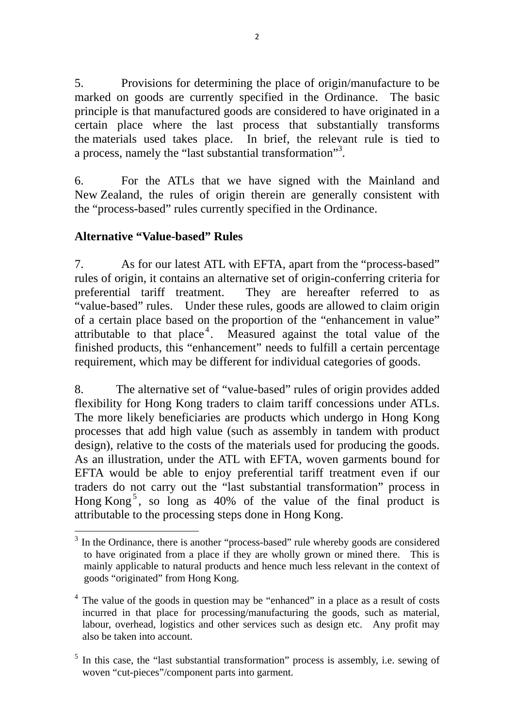5. Provisions for determining the place of origin/manufacture to be marked on goods are currently specified in the Ordinance. The basic principle is that manufactured goods are considered to have originated in a certain place where the last process that substantially transforms the materials used takes place. In brief, the relevant rule is tied to a process, namely the "last substantial transformation"<sup>3</sup>.

6. For the ATLs that we have signed with the Mainland and New Zealand, the rules of origin therein are generally consistent with the "process-based" rules currently specified in the Ordinance.

### **Alternative "Value-based" Rules**

7. As for our latest ATL with EFTA, apart from the "process-based" rules of origin, it contains an alternative set of origin-conferring criteria for preferential tariff treatment. They are hereafter referred to as "value-based" rules. Under these rules, goods are allowed to claim origin of a certain place based on the proportion of the "enhancement in value" attributable to that place<sup>4</sup>. Measured against the total value of the finished products, this "enhancement" needs to fulfill a certain percentage requirement, which may be different for individual categories of goods.

8. The alternative set of "value-based" rules of origin provides added flexibility for Hong Kong traders to claim tariff concessions under ATLs. The more likely beneficiaries are products which undergo in Hong Kong processes that add high value (such as assembly in tandem with product design), relative to the costs of the materials used for producing the goods. As an illustration, under the ATL with EFTA, woven garments bound for EFTA would be able to enjoy preferential tariff treatment even if our traders do not carry out the "last substantial transformation" process in Hong Kong<sup>5</sup>, so long as  $40\%$  of the value of the final product is attributable to the processing steps done in Hong Kong.

 <sup>3</sup> In the Ordinance, there is another "process-based" rule whereby goods are considered to have originated from a place if they are wholly grown or mined there. This is mainly applicable to natural products and hence much less relevant in the context of goods "originated" from Hong Kong.

<sup>&</sup>lt;sup>4</sup> The value of the goods in question may be "enhanced" in a place as a result of costs incurred in that place for processing/manufacturing the goods, such as material, labour, overhead, logistics and other services such as design etc. Any profit may also be taken into account.

<sup>&</sup>lt;sup>5</sup> In this case, the "last substantial transformation" process is assembly, i.e. sewing of woven "cut-pieces"/component parts into garment.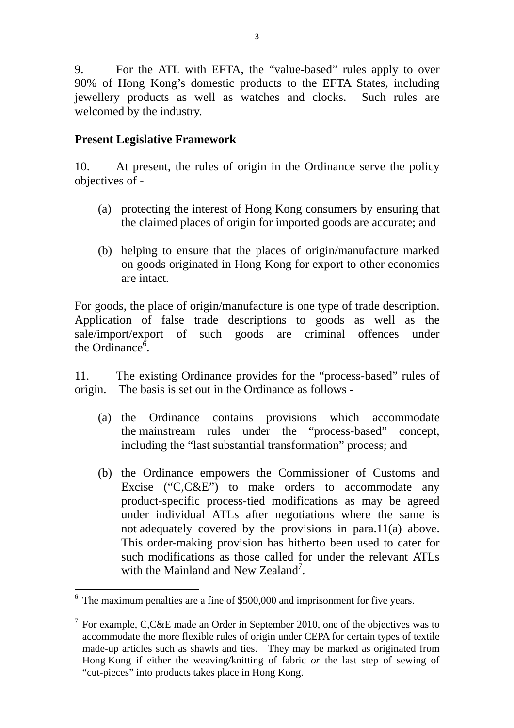9. For the ATL with EFTA, the "value-based" rules apply to over 90% of Hong Kong's domestic products to the EFTA States, including jewellery products as well as watches and clocks. Such rules are welcomed by the industry.

#### **Present Legislative Framework**

10. At present, the rules of origin in the Ordinance serve the policy objectives of -

- (a) protecting the interest of Hong Kong consumers by ensuring that the claimed places of origin for imported goods are accurate; and
- (b) helping to ensure that the places of origin/manufacture marked on goods originated in Hong Kong for export to other economies are intact.

For goods, the place of origin/manufacture is one type of trade description. Application of false trade descriptions to goods as well as the sale/import/export of such goods are criminal offences under the Ordinance $\delta$ .

11. The existing Ordinance provides for the "process-based" rules of origin. The basis is set out in the Ordinance as follows -

- (a) the Ordinance contains provisions which accommodate the mainstream rules under the "process-based" concept, including the "last substantial transformation" process; and
- (b) the Ordinance empowers the Commissioner of Customs and Excise ("C,C&E") to make orders to accommodate any product-specific process-tied modifications as may be agreed under individual ATLs after negotiations where the same is not adequately covered by the provisions in para.11(a) above. This order-making provision has hitherto been used to cater for such modifications as those called for under the relevant ATLs with the Mainland and New Zealand<sup>7</sup>.

  $6\text{ The maximum penalties are a fine of } $500,000 \text{ and improvement for five years.}$ 

<sup>&</sup>lt;sup>7</sup> For example, C,C&E made an Order in September 2010, one of the objectives was to accommodate the more flexible rules of origin under CEPA for certain types of textile made-up articles such as shawls and ties. They may be marked as originated from Hong Kong if either the weaving/knitting of fabric *or* the last step of sewing of "cut-pieces" into products takes place in Hong Kong.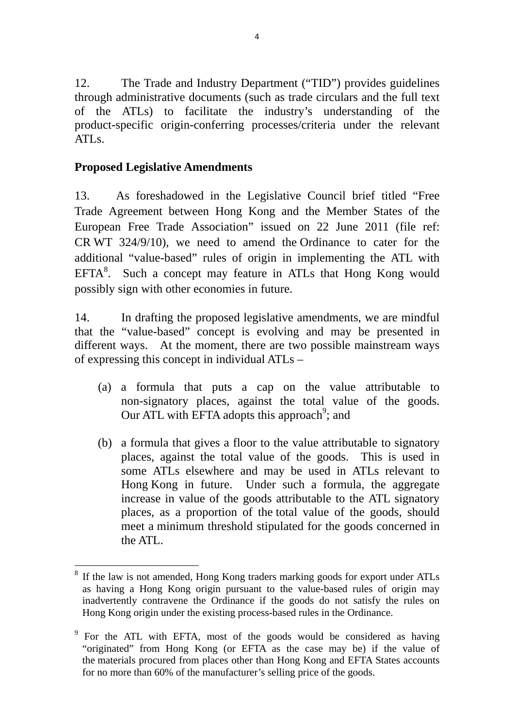12. The Trade and Industry Department ("TID") provides guidelines through administrative documents (such as trade circulars and the full text of the ATLs) to facilitate the industry's understanding of the product-specific origin-conferring processes/criteria under the relevant ATLs.

### **Proposed Legislative Amendments**

13. As foreshadowed in the Legislative Council brief titled "Free Trade Agreement between Hong Kong and the Member States of the European Free Trade Association" issued on 22 June 2011 (file ref: CR WT 324/9/10), we need to amend the Ordinance to cater for the additional "value-based" rules of origin in implementing the ATL with  $EFTA<sup>8</sup>$ . Such a concept may feature in ATLs that Hong Kong would possibly sign with other economies in future.

14. In drafting the proposed legislative amendments, we are mindful that the "value-based" concept is evolving and may be presented in different ways. At the moment, there are two possible mainstream ways of expressing this concept in individual ATLs –

- (a) a formula that puts a cap on the value attributable to non-signatory places, against the total value of the goods. Our ATL with EFTA adopts this approach<sup>9</sup>; and
- (b) a formula that gives a floor to the value attributable to signatory places, against the total value of the goods. This is used in some ATLs elsewhere and may be used in ATLs relevant to Hong Kong in future. Under such a formula, the aggregate increase in value of the goods attributable to the ATL signatory places, as a proportion of the total value of the goods, should meet a minimum threshold stipulated for the goods concerned in the ATL.

 <sup>8</sup> If the law is not amended, Hong Kong traders marking goods for export under ATLs as having a Hong Kong origin pursuant to the value-based rules of origin may inadvertently contravene the Ordinance if the goods do not satisfy the rules on Hong Kong origin under the existing process-based rules in the Ordinance.

<sup>&</sup>lt;sup>9</sup> For the ATL with EFTA, most of the goods would be considered as having "originated" from Hong Kong (or EFTA as the case may be) if the value of the materials procured from places other than Hong Kong and EFTA States accounts for no more than 60% of the manufacturer's selling price of the goods.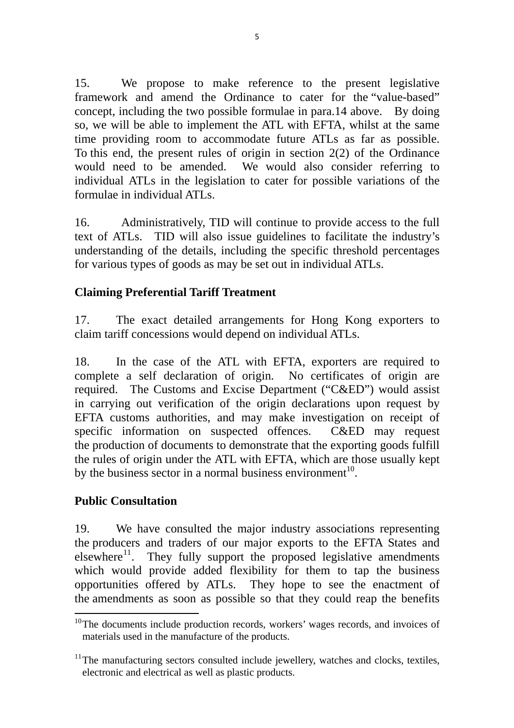15. We propose to make reference to the present legislative framework and amend the Ordinance to cater for the "value-based" concept, including the two possible formulae in para.14 above. By doing so, we will be able to implement the ATL with EFTA, whilst at the same time providing room to accommodate future ATLs as far as possible. To this end, the present rules of origin in section 2(2) of the Ordinance would need to be amended. We would also consider referring to individual ATLs in the legislation to cater for possible variations of the formulae in individual ATLs.

16. Administratively, TID will continue to provide access to the full text of ATLs. TID will also issue guidelines to facilitate the industry's understanding of the details, including the specific threshold percentages for various types of goods as may be set out in individual ATLs.

# **Claiming Preferential Tariff Treatment**

17. The exact detailed arrangements for Hong Kong exporters to claim tariff concessions would depend on individual ATLs.

18. In the case of the ATL with EFTA, exporters are required to complete a self declaration of origin. No certificates of origin are required. The Customs and Excise Department ("C&ED") would assist in carrying out verification of the origin declarations upon request by EFTA customs authorities, and may make investigation on receipt of specific information on suspected offences. C&ED may request the production of documents to demonstrate that the exporting goods fulfill the rules of origin under the ATL with EFTA, which are those usually kept by the business sector in a normal business environment<sup>10</sup>.

### **Public Consultation**

19. We have consulted the major industry associations representing the producers and traders of our major exports to the EFTA States and elsewhere $11$ . They fully support the proposed legislative amendments which would provide added flexibility for them to tap the business opportunities offered by ATLs. They hope to see the enactment of the amendments as soon as possible so that they could reap the benefits

  $10$ <sup>10</sup> The documents include production records, workers' wages records, and invoices of materials used in the manufacture of the products.

 $11$ <sup>11</sup> The manufacturing sectors consulted include jewellery, watches and clocks, textiles, electronic and electrical as well as plastic products.